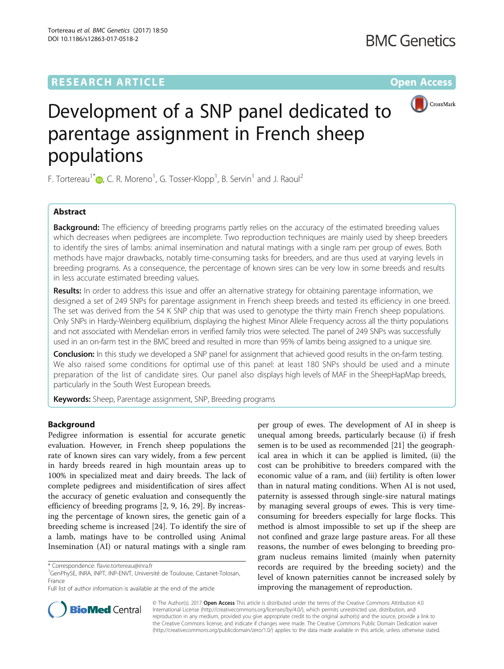# **RESEARCH ARTICLE External Structure Community Community Community Community Community Community Community Community**



# Development of a SNP panel dedicated to parentage assignment in French sheep populations

F. Tortereau<sup>1\*</sup>  $\bullet$ [,](http://orcid.org/0000-0003-1444-4481) C. R. Moreno<sup>1</sup>, G. Tosser-Klopp<sup>1</sup>, B. Servin<sup>1</sup> and J. Raoul<sup>2</sup>

# Abstract

**Background:** The efficiency of breeding programs partly relies on the accuracy of the estimated breeding values which decreases when pedigrees are incomplete. Two reproduction techniques are mainly used by sheep breeders to identify the sires of lambs: animal insemination and natural matings with a single ram per group of ewes. Both methods have major drawbacks, notably time-consuming tasks for breeders, and are thus used at varying levels in breeding programs. As a consequence, the percentage of known sires can be very low in some breeds and results in less accurate estimated breeding values.

Results: In order to address this issue and offer an alternative strategy for obtaining parentage information, we designed a set of 249 SNPs for parentage assignment in French sheep breeds and tested its efficiency in one breed. The set was derived from the 54 K SNP chip that was used to genotype the thirty main French sheep populations. Only SNPs in Hardy-Weinberg equilibrium, displaying the highest Minor Allele Frequency across all the thirty populations and not associated with Mendelian errors in verified family trios were selected. The panel of 249 SNPs was successfully used in an on-farm test in the BMC breed and resulted in more than 95% of lambs being assigned to a unique sire.

**Conclusion:** In this study we developed a SNP panel for assignment that achieved good results in the on-farm testing. We also raised some conditions for optimal use of this panel: at least 180 SNPs should be used and a minute preparation of the list of candidate sires. Our panel also displays high levels of MAF in the SheepHapMap breeds, particularly in the South West European breeds.

Keywords: Sheep, Parentage assignment, SNP, Breeding programs

# Background

Pedigree information is essential for accurate genetic evaluation. However, in French sheep populations the rate of known sires can vary widely, from a few percent in hardy breeds reared in high mountain areas up to 100% in specialized meat and dairy breeds. The lack of complete pedigrees and misidentification of sires affect the accuracy of genetic evaluation and consequently the efficiency of breeding programs [\[2](#page-10-0), [9](#page-10-0), [16, 29\]](#page-10-0). By increasing the percentage of known sires, the genetic gain of a breeding scheme is increased [[24](#page-10-0)]. To identify the sire of a lamb, matings have to be controlled using Animal Insemination (AI) or natural matings with a single ram

per group of ewes. The development of AI in sheep is unequal among breeds, particularly because (i) if fresh semen is to be used as recommended [\[21](#page-10-0)] the geographical area in which it can be applied is limited, (ii) the cost can be prohibitive to breeders compared with the economic value of a ram, and (iii) fertility is often lower than in natural mating conditions. When AI is not used, paternity is assessed through single-sire natural matings by managing several groups of ewes. This is very timeconsuming for breeders especially for large flocks. This method is almost impossible to set up if the sheep are not confined and graze large pasture areas. For all these reasons, the number of ewes belonging to breeding program nucleus remains limited (mainly when paternity records are required by the breeding society) and the level of known paternities cannot be increased solely by improving the management of reproduction.



© The Author(s). 2017 **Open Access** This article is distributed under the terms of the Creative Commons Attribution 4.0 International License [\(http://creativecommons.org/licenses/by/4.0/](http://creativecommons.org/licenses/by/4.0/)), which permits unrestricted use, distribution, and reproduction in any medium, provided you give appropriate credit to the original author(s) and the source, provide a link to the Creative Commons license, and indicate if changes were made. The Creative Commons Public Domain Dedication waiver [\(http://creativecommons.org/publicdomain/zero/1.0/](http://creativecommons.org/publicdomain/zero/1.0/)) applies to the data made available in this article, unless otherwise stated.

<sup>\*</sup> Correspondence: [flavie.tortereau@inra.fr](mailto:flavie.tortereau@inra.fr) <sup>1</sup>

<sup>&</sup>lt;sup>1</sup>GenPhySE, INRA, INPT, INP-ENVT, Université de Toulouse, Castanet-Tolosan, France

Full list of author information is available at the end of the article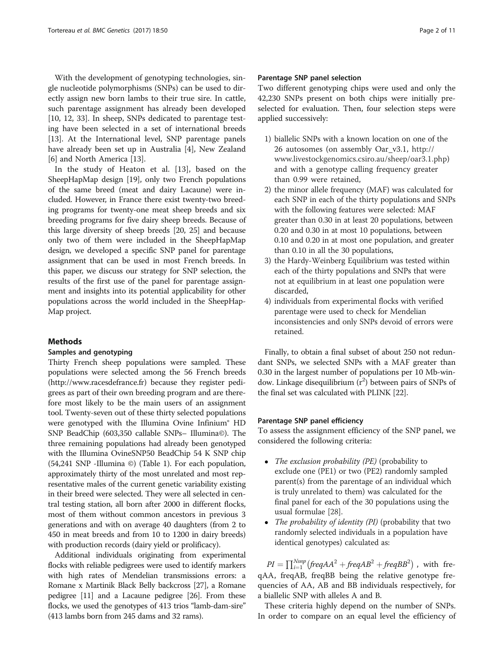With the development of genotyping technologies, single nucleotide polymorphisms (SNPs) can be used to directly assign new born lambs to their true sire. In cattle, such parentage assignment has already been developed [[10, 12](#page-10-0), [33\]](#page-10-0). In sheep, SNPs dedicated to parentage testing have been selected in a set of international breeds [[13\]](#page-10-0). At the International level, SNP parentage panels have already been set up in Australia [\[4](#page-10-0)], New Zealand [[6\]](#page-10-0) and North America [\[13](#page-10-0)].

In the study of Heaton et al. [[13\]](#page-10-0), based on the SheepHapMap design [[19](#page-10-0)], only two French populations of the same breed (meat and dairy Lacaune) were included. However, in France there exist twenty-two breeding programs for twenty-one meat sheep breeds and six breeding programs for five dairy sheep breeds. Because of this large diversity of sheep breeds [[20](#page-10-0), [25](#page-10-0)] and because only two of them were included in the SheepHapMap design, we developed a specific SNP panel for parentage assignment that can be used in most French breeds. In this paper, we discuss our strategy for SNP selection, the results of the first use of the panel for parentage assignment and insights into its potential applicability for other populations across the world included in the SheepHap-Map project.

# Methods

# Samples and genotyping

Thirty French sheep populations were sampled. These populations were selected among the 56 French breeds (<http://www.racesdefrance.fr>) because they register pedigrees as part of their own breeding program and are therefore most likely to be the main users of an assignment tool. Twenty-seven out of these thirty selected populations were genotyped with the Illumina Ovine Infinium® HD SNP BeadChip (603,350 callable SNPs– Illumina©). The three remaining populations had already been genotyped with the Illumina OvineSNP50 BeadChip 54 K SNP chip (54,241 SNP -Illumina ©) (Table [1\)](#page-2-0). For each population, approximately thirty of the most unrelated and most representative males of the current genetic variability existing in their breed were selected. They were all selected in central testing station, all born after 2000 in different flocks, most of them without common ancestors in previous 3 generations and with on average 40 daughters (from 2 to 450 in meat breeds and from 10 to 1200 in dairy breeds) with production records (dairy yield or prolificacy).

Additional individuals originating from experimental flocks with reliable pedigrees were used to identify markers with high rates of Mendelian transmissions errors: a Romane x Martinik Black Belly backcross [[27](#page-10-0)], a Romane pedigree [\[11\]](#page-10-0) and a Lacaune pedigree [\[26\]](#page-10-0). From these flocks, we used the genotypes of 413 trios "lamb-dam-sire" (413 lambs born from 245 dams and 32 rams).

# Parentage SNP panel selection

Two different genotyping chips were used and only the 42,230 SNPs present on both chips were initially preselected for evaluation. Then, four selection steps were applied successively:

- 1) biallelic SNPs with a known location on one of the 26 autosomes (on assembly Oar\_v3.1, [http://](http://www.livestockgenomics.csiro.au/sheep/oar3.1.php) [www.livestockgenomics.csiro.au/sheep/oar3.1.php](http://www.livestockgenomics.csiro.au/sheep/oar3.1.php)) and with a genotype calling frequency greater than 0.99 were retained,
- 2) the minor allele frequency (MAF) was calculated for each SNP in each of the thirty populations and SNPs with the following features were selected: MAF greater than 0.30 in at least 20 populations, between 0.20 and 0.30 in at most 10 populations, between 0.10 and 0.20 in at most one population, and greater than 0.10 in all the 30 populations,
- 3) the Hardy-Weinberg Equilibrium was tested within each of the thirty populations and SNPs that were not at equilibrium in at least one population were discarded,
- 4) individuals from experimental flocks with verified parentage were used to check for Mendelian inconsistencies and only SNPs devoid of errors were retained.

Finally, to obtain a final subset of about 250 not redundant SNPs, we selected SNPs with a MAF greater than 0.30 in the largest number of populations per 10 Mb-window. Linkage disequilibrium  $(r^2)$  between pairs of SNPs of the final set was calculated with PLINK [[22](#page-10-0)].

# Parentage SNP panel efficiency

To assess the assignment efficiency of the SNP panel, we considered the following criteria:

- The exclusion probability (PE) (probability to exclude one (PE1) or two (PE2) randomly sampled parent(s) from the parentage of an individual which is truly unrelated to them) was calculated for the final panel for each of the 30 populations using the usual formulae [\[28](#page-10-0)].
- The probability of identity (PI) (probability that two randomly selected individuals in a population have identical genotypes) calculated as:

 $PI = \prod_{i=1}^{Nsnp} \left( \text{freq} AA^2 + \text{freq} AB^2 + \text{freq} BB^2 \right)$  , with freqAA, freqAB, freqBB being the relative genotype frequencies of AA, AB and BB individuals respectively, for a biallelic SNP with alleles A and B.

These criteria highly depend on the number of SNPs. In order to compare on an equal level the efficiency of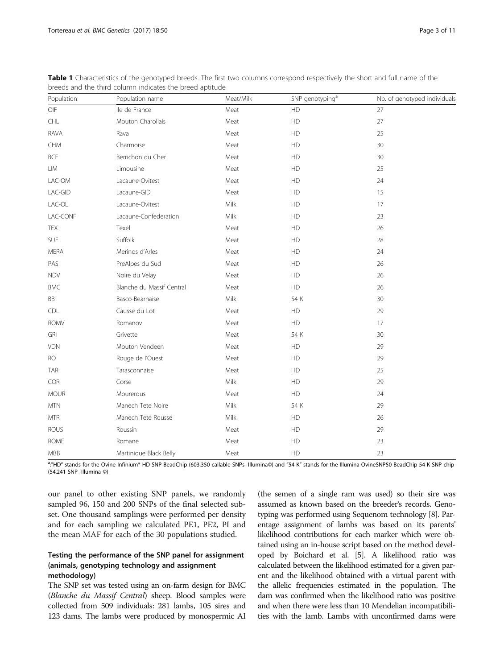| Population                                                                            | Population name           | Meat/Milk | SNP genotyping <sup>a</sup> | Nb. of genotyped individuals |  |
|---------------------------------------------------------------------------------------|---------------------------|-----------|-----------------------------|------------------------------|--|
| OIF                                                                                   | lle de France             | Meat      | HD                          | 27                           |  |
| CHL                                                                                   | Mouton Charollais         | Meat      | HD                          | 27                           |  |
| <b>RAVA</b>                                                                           | Rava                      | Meat      | HD                          | 25                           |  |
| $\mathsf{CHM}% \left( \mathcal{M}\right) \equiv\mathsf{CHM}\left( \mathcal{M}\right)$ | Charmoise                 | Meat      | ${\sf HD}$                  | 30                           |  |
| <b>BCF</b>                                                                            | Berrichon du Cher         | Meat      | HD                          | 30                           |  |
| LIM                                                                                   | Limousine                 | Meat      | HD                          | 25                           |  |
| LAC-OM                                                                                | Lacaune-Ovitest           | Meat      | HD                          | 24                           |  |
| LAC-GID                                                                               | Lacaune-GID               | Meat      | HD                          | 15                           |  |
| LAC-OL                                                                                | Lacaune-Ovitest           | Milk      | HD                          | 17                           |  |
| LAC-CONF                                                                              | Lacaune-Confederation     | Milk      | HD                          | 23                           |  |
| TEX                                                                                   | Texel                     | Meat      | HD                          | 26                           |  |
| SUF                                                                                   | Suffolk                   | Meat      | HD                          | 28                           |  |
| MERA                                                                                  | Merinos d'Arles           | Meat      | ${\sf HD}$                  | 24                           |  |
| PAS                                                                                   | PreAlpes du Sud           | Meat      | HD                          | 26                           |  |
| <b>NDV</b>                                                                            | Noire du Velay            | Meat      | <b>HD</b>                   | 26                           |  |
| <b>BMC</b>                                                                            | Blanche du Massif Central | Meat      | HD                          | 26                           |  |
| BB                                                                                    | Basco-Bearnaise           | Milk      | 54 K                        | 30                           |  |
| CDL                                                                                   | Causse du Lot             | Meat      | ${\sf HD}$                  | 29                           |  |
| <b>ROMV</b>                                                                           | Romanov                   | Meat      | <b>HD</b>                   | 17                           |  |
| GRI                                                                                   | Grivette                  | Meat      | 54 K                        | 30                           |  |
| VDN                                                                                   | Mouton Vendeen            | Meat      | ${\sf HD}$                  | 29                           |  |
| <b>RO</b>                                                                             | Rouge de l'Ouest          | Meat      | HD                          | 29                           |  |
| <b>TAR</b>                                                                            | Tarasconnaise             | Meat      | HD                          | 25                           |  |
| COR                                                                                   | Corse                     | Milk      | HD                          | 29                           |  |
| <b>MOUR</b>                                                                           | Mourerous                 | Meat      | <b>HD</b>                   | 24                           |  |
| <b>MTN</b>                                                                            | Manech Tete Noire         | Milk      | 54 K                        | 29                           |  |
| $\ensuremath{\mathsf{MTR}}$                                                           | Manech Tete Rousse        | Milk      | ${\sf HD}$                  | 26                           |  |
| <b>ROUS</b>                                                                           | Roussin                   | Meat      | HD                          | 29                           |  |
| <b>ROME</b>                                                                           | Romane                    | Meat      | HD                          | 23                           |  |
| MBB                                                                                   | Martinique Black Belly    | Meat      | ${\sf HD}$                  | 23                           |  |

<span id="page-2-0"></span>Table 1 Characteristics of the genotyped breeds. The first two columns correspond respectively the short and full name of the breeds and the third column indicates the breed aptitude

a."HD" stands for the Ovine Infinium® HD SNP BeadChip (603,350 callable SNPs- Illumina©) and "54 K" stands for the Illumina OvineSNP50 BeadChip 54 K SNP chip (54,241 SNP -Illumina ©)

our panel to other existing SNP panels, we randomly sampled 96, 150 and 200 SNPs of the final selected subset. One thousand samplings were performed per density and for each sampling we calculated PE1, PE2, PI and the mean MAF for each of the 30 populations studied.

# Testing the performance of the SNP panel for assignment (animals, genotyping technology and assignment methodology)

The SNP set was tested using an on-farm design for BMC (Blanche du Massif Central) sheep. Blood samples were collected from 509 individuals: 281 lambs, 105 sires and 123 dams. The lambs were produced by monospermic AI

(the semen of a single ram was used) so their sire was assumed as known based on the breeder's records. Genotyping was performed using Sequenom technology [[8](#page-10-0)]. Parentage assignment of lambs was based on its parents' likelihood contributions for each marker which were obtained using an in-house script based on the method developed by Boichard et al. [\[5](#page-10-0)]. A likelihood ratio was calculated between the likelihood estimated for a given parent and the likelihood obtained with a virtual parent with the allelic frequencies estimated in the population. The dam was confirmed when the likelihood ratio was positive and when there were less than 10 Mendelian incompatibilities with the lamb. Lambs with unconfirmed dams were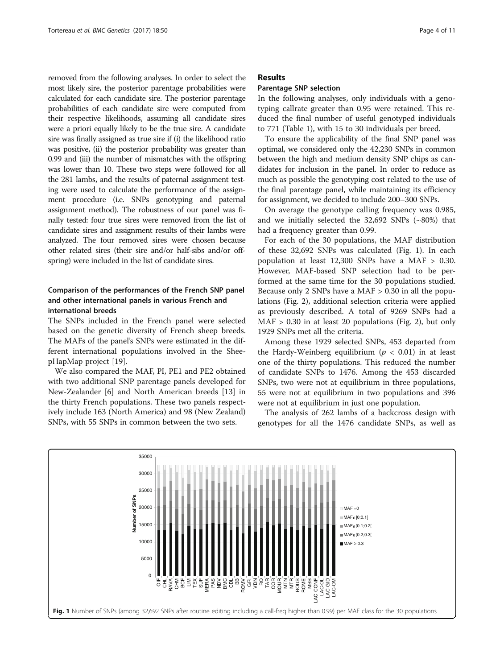removed from the following analyses. In order to select the most likely sire, the posterior parentage probabilities were calculated for each candidate sire. The posterior parentage probabilities of each candidate sire were computed from their respective likelihoods, assuming all candidate sires were a priori equally likely to be the true sire. A candidate sire was finally assigned as true sire if (i) the likelihood ratio was positive, (ii) the posterior probability was greater than 0.99 and (iii) the number of mismatches with the offspring was lower than 10. These two steps were followed for all the 281 lambs, and the results of paternal assignment testing were used to calculate the performance of the assignment procedure (i.e. SNPs genotyping and paternal assignment method). The robustness of our panel was finally tested: four true sires were removed from the list of candidate sires and assignment results of their lambs were analyzed. The four removed sires were chosen because other related sires (their sire and/or half-sibs and/or offspring) were included in the list of candidate sires.

# Comparison of the performances of the French SNP panel and other international panels in various French and international breeds

The SNPs included in the French panel were selected based on the genetic diversity of French sheep breeds. The MAFs of the panel's SNPs were estimated in the different international populations involved in the SheepHapMap project [\[19](#page-10-0)].

We also compared the MAF, PI, PE1 and PE2 obtained with two additional SNP parentage panels developed for New-Zealander [[6\]](#page-10-0) and North American breeds [\[13](#page-10-0)] in the thirty French populations. These two panels respectively include 163 (North America) and 98 (New Zealand) SNPs, with 55 SNPs in common between the two sets.

# Results

#### Parentage SNP selection

In the following analyses, only individuals with a genotyping callrate greater than 0.95 were retained. This reduced the final number of useful genotyped individuals to 771 (Table [1\)](#page-2-0), with 15 to 30 individuals per breed.

To ensure the applicability of the final SNP panel was optimal, we considered only the 42,230 SNPs in common between the high and medium density SNP chips as candidates for inclusion in the panel. In order to reduce as much as possible the genotyping cost related to the use of the final parentage panel, while maintaining its efficiency for assignment, we decided to include 200–300 SNPs.

On average the genotype calling frequency was 0.985, and we initially selected the  $32,692$  SNPs (~80%) that had a frequency greater than 0.99.

For each of the 30 populations, the MAF distribution of these 32,692 SNPs was calculated (Fig. 1). In each population at least 12,300 SNPs have a MAF > 0.30. However, MAF-based SNP selection had to be performed at the same time for the 30 populations studied. Because only 2 SNPs have a MAF > 0.30 in all the populations (Fig. [2](#page-4-0)), additional selection criteria were applied as previously described. A total of 9269 SNPs had a  $MAF > 0.30$  in at least 20 populations (Fig. [2\)](#page-4-0), but only 1929 SNPs met all the criteria.

Among these 1929 selected SNPs, 453 departed from the Hardy-Weinberg equilibrium ( $p < 0.01$ ) in at least one of the thirty populations. This reduced the number of candidate SNPs to 1476. Among the 453 discarded SNPs, two were not at equilibrium in three populations, 55 were not at equilibrium in two populations and 396 were not at equilibrium in just one population.

The analysis of 262 lambs of a backcross design with genotypes for all the 1476 candidate SNPs, as well as

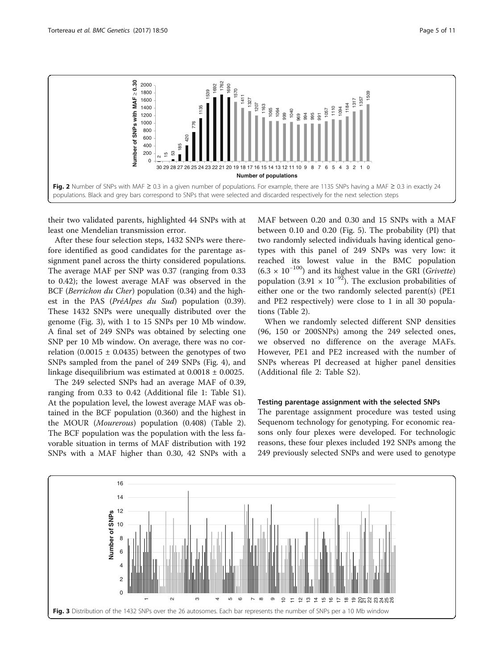<span id="page-4-0"></span>

their two validated parents, highlighted 44 SNPs with at least one Mendelian transmission error.

After these four selection steps, 1432 SNPs were therefore identified as good candidates for the parentage assignment panel across the thirty considered populations. The average MAF per SNP was 0.37 (ranging from 0.33 to 0.42); the lowest average MAF was observed in the BCF (Berrichon du Cher) population (0.34) and the highest in the PAS (*PréAlpes du Sud*) population (0.39). These 1432 SNPs were unequally distributed over the genome (Fig. 3), with 1 to 15 SNPs per 10 Mb window. A final set of 249 SNPs was obtained by selecting one SNP per 10 Mb window. On average, there was no correlation  $(0.0015 \pm 0.0435)$  between the genotypes of two SNPs sampled from the panel of 249 SNPs (Fig. [4\)](#page-5-0), and linkage disequilibrium was estimated at 0.0018 ± 0.0025.

The 249 selected SNPs had an average MAF of 0.39, ranging from 0.33 to 0.42 (Additional file [1:](#page-9-0) Table S1). At the population level, the lowest average MAF was obtained in the BCF population (0.360) and the highest in the MOUR (Mourerous) population (0.408) (Table [2](#page-6-0)). The BCF population was the population with the less favorable situation in terms of MAF distribution with 192 SNPs with a MAF higher than 0.30, 42 SNPs with a MAF between 0.20 and 0.30 and 15 SNPs with a MAF between 0.10 and 0.20 (Fig. [5\)](#page-7-0). The probability (PI) that two randomly selected individuals having identical genotypes with this panel of 249 SNPs was very low: it reached its lowest value in the BMC population  $(6.3 \times 10^{-100})$  and its highest value in the GRI (*Grivette*) population (3.91 ×  $10^{-92}$ ). The exclusion probabilities of either one or the two randomly selected parent(s) (PE1 and PE2 respectively) were close to 1 in all 30 populations (Table [2\)](#page-6-0).

When we randomly selected different SNP densities (96, 150 or 200SNPs) among the 249 selected ones, we observed no difference on the average MAFs. However, PE1 and PE2 increased with the number of SNPs whereas PI decreased at higher panel densities (Additional file [2:](#page-9-0) Table S2).

# Testing parentage assignment with the selected SNPs

The parentage assignment procedure was tested using Sequenom technology for genotyping. For economic reasons only four plexes were developed. For technologic reasons, these four plexes included 192 SNPs among the 249 previously selected SNPs and were used to genotype

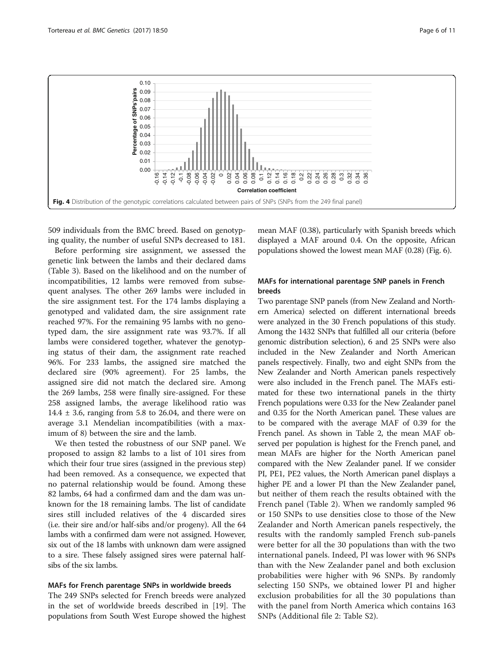<span id="page-5-0"></span>

509 individuals from the BMC breed. Based on genotyping quality, the number of useful SNPs decreased to 181.

Before performing sire assignment, we assessed the genetic link between the lambs and their declared dams (Table [3](#page-7-0)). Based on the likelihood and on the number of incompatibilities, 12 lambs were removed from subsequent analyses. The other 269 lambs were included in the sire assignment test. For the 174 lambs displaying a genotyped and validated dam, the sire assignment rate reached 97%. For the remaining 95 lambs with no genotyped dam, the sire assignment rate was 93.7%. If all lambs were considered together, whatever the genotyping status of their dam, the assignment rate reached 96%. For 233 lambs, the assigned sire matched the declared sire (90% agreement). For 25 lambs, the assigned sire did not match the declared sire. Among the 269 lambs, 258 were finally sire-assigned. For these 258 assigned lambs, the average likelihood ratio was 14.4  $\pm$  3.6, ranging from 5.8 to 26.04, and there were on average 3.1 Mendelian incompatibilities (with a maximum of 8) between the sire and the lamb.

We then tested the robustness of our SNP panel. We proposed to assign 82 lambs to a list of 101 sires from which their four true sires (assigned in the previous step) had been removed. As a consequence, we expected that no paternal relationship would be found. Among these 82 lambs, 64 had a confirmed dam and the dam was unknown for the 18 remaining lambs. The list of candidate sires still included relatives of the 4 discarded sires (i.e. their sire and/or half-sibs and/or progeny). All the 64 lambs with a confirmed dam were not assigned. However, six out of the 18 lambs with unknown dam were assigned to a sire. These falsely assigned sires were paternal halfsibs of the six lambs.

# MAFs for French parentage SNPs in worldwide breeds

The 249 SNPs selected for French breeds were analyzed in the set of worldwide breeds described in [\[19](#page-10-0)]. The populations from South West Europe showed the highest mean MAF (0.38), particularly with Spanish breeds which displayed a MAF around 0.4. On the opposite, African populations showed the lowest mean MAF (0.28) (Fig. [6\)](#page-8-0).

# MAFs for international parentage SNP panels in French breeds

Two parentage SNP panels (from New Zealand and Northern America) selected on different international breeds were analyzed in the 30 French populations of this study. Among the 1432 SNPs that fulfilled all our criteria (before genomic distribution selection), 6 and 25 SNPs were also included in the New Zealander and North American panels respectively. Finally, two and eight SNPs from the New Zealander and North American panels respectively were also included in the French panel. The MAFs estimated for these two international panels in the thirty French populations were 0.33 for the New Zealander panel and 0.35 for the North American panel. These values are to be compared with the average MAF of 0.39 for the French panel. As shown in Table [2,](#page-6-0) the mean MAF observed per population is highest for the French panel, and mean MAFs are higher for the North American panel compared with the New Zealander panel. If we consider PI, PE1, PE2 values, the North American panel displays a higher PE and a lower PI than the New Zealander panel, but neither of them reach the results obtained with the French panel (Table [2](#page-6-0)). When we randomly sampled 96 or 150 SNPs to use densities close to those of the New Zealander and North American panels respectively, the results with the randomly sampled French sub-panels were better for all the 30 populations than with the two international panels. Indeed, PI was lower with 96 SNPs than with the New Zealander panel and both exclusion probabilities were higher with 96 SNPs. By randomly selecting 150 SNPs, we obtained lower PI and higher exclusion probabilities for all the 30 populations than with the panel from North America which contains 163 SNPs (Additional file [2:](#page-9-0) Table S2).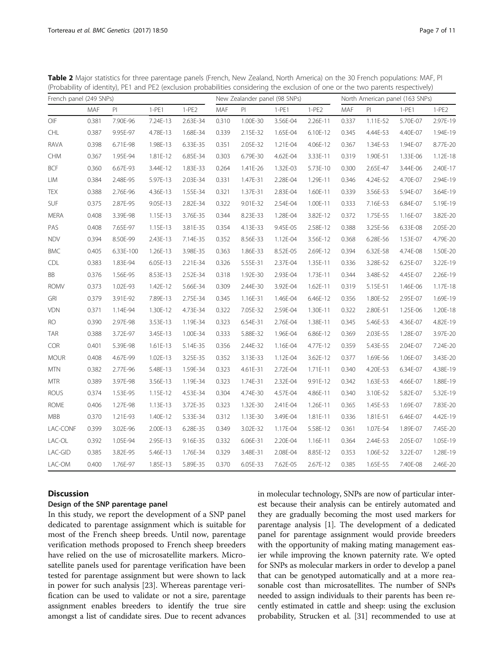<span id="page-6-0"></span>Table 2 Major statistics for three parentage panels (French, New Zealand, North America) on the 30 French populations: MAF, PI (Probability of identity), PE1 and PE2 (exclusion probabilities considering the exclusion of one or the two parents respectively)

| French panel (249 SNPs) |       |           | New Zealander panel (98 SNPs) |          |       | North American panel (163 SNPs) |          |          |       |          |          |          |
|-------------------------|-------|-----------|-------------------------------|----------|-------|---------------------------------|----------|----------|-------|----------|----------|----------|
|                         | MAF   | PI        | $1-PE1$                       | $1-PE2$  | MAF   | PI                              | $1-PE1$  | $1-PE2$  | MAF   | PI       | $1-PE1$  | $1-PE2$  |
| OIF                     | 0.381 | 7.90E-96  | 7.24E-13                      | 2.63E-34 | 0.310 | 1.00E-30                        | 3.56E-04 | 2.26E-11 | 0.337 | 1.11E-52 | 5.70E-07 | 2.97E-19 |
| <b>CHL</b>              | 0.387 | 9.95E-97  | 4.78E-13                      | 1.68E-34 | 0.339 | 2.15E-32                        | 1.65E-04 | 6.10E-12 | 0.345 | 4.44E-53 | 4.40E-07 | 1.94E-19 |
| RAVA                    | 0.398 | 6.71E-98  | 1.98E-13                      | 6.33E-35 | 0.351 | 2.05E-32                        | 1.21E-04 | 4.06E-12 | 0.367 | 1.34E-53 | 1.94E-07 | 8.77E-20 |
| CHM                     | 0.367 | 1.95E-94  | 1.81E-12                      | 6.85E-34 | 0.303 | 6.79E-30                        | 4.62E-04 | 3.33E-11 | 0.319 | 1.90E-51 | 1.33E-06 | 1.12E-18 |
| <b>BCF</b>              | 0.360 | 6.67E-93  | 3.44E-12                      | 1.83E-33 | 0.264 | 1.41E-26                        | 1.32E-03 | 5.73E-10 | 0.300 | 2.65E-47 | 3.44E-06 | 2.40E-17 |
| LIM                     | 0.384 | 2.48E-95  | 5.97E-13                      | 2.03E-34 | 0.331 | 1.47E-31                        | 2.28E-04 | 1.29E-11 | 0.346 | 4.24E-52 | 4.70E-07 | 2.94E-19 |
| TEX                     | 0.388 | 2.76E-96  | 4.36E-13                      | 1.55E-34 | 0.321 | 1.37E-31                        | 2.83E-04 | 1.60E-11 | 0.339 | 3.56E-53 | 5.94E-07 | 3.64E-19 |
| SUF                     | 0.375 | 2.87E-95  | 9.05E-13                      | 2.82E-34 | 0.322 | 9.01E-32                        | 2.54E-04 | 1.00E-11 | 0.333 | 7.16E-53 | 6.84E-07 | 5.19E-19 |
| <b>MERA</b>             | 0.408 | 3.39E-98  | 1.15E-13                      | 3.76E-35 | 0.344 | 8.23E-33                        | 1.28E-04 | 3.82E-12 | 0.372 | 1.75E-55 | 1.16E-07 | 3.82E-20 |
| PAS                     | 0.408 | 7.65E-97  | 1.15E-13                      | 3.81E-35 | 0.354 | 4.13E-33                        | 9.45E-05 | 2.58E-12 | 0.388 | 3.25E-56 | 6.33E-08 | 2.05E-20 |
| <b>NDV</b>              | 0.394 | 8.50E-99  | 2.43E-13                      | 7.14E-35 | 0.352 | 8.56E-33                        | 1.12E-04 | 3.56E-12 | 0.368 | 6.28E-56 | 1.53E-07 | 4.79E-20 |
| <b>BMC</b>              | 0.405 | 6.33E-100 | 1.26E-13                      | 3.98E-35 | 0.363 | 1.86E-33                        | 8.52E-05 | 2.69E-12 | 0.394 | 6.32E-58 | 4.74E-08 | 1.50E-20 |
| CDL                     | 0.383 | 1.83E-94  | 6.05E-13                      | 2.21E-34 | 0.326 | 5.55E-31                        | 2.37E-04 | 1.35E-11 | 0.336 | 3.28E-52 | 6.25E-07 | 3.22E-19 |
| BB                      | 0.376 | 1.56E-95  | 8.53E-13                      | 2.52E-34 | 0.318 | 1.92E-30                        | 2.93E-04 | 1.73E-11 | 0.344 | 3.48E-52 | 4.45E-07 | 2.26E-19 |
| <b>ROMV</b>             | 0.373 | 1.02E-93  | 1.42E-12                      | 5.66E-34 | 0.309 | 2.44E-30                        | 3.92E-04 | 1.62E-11 | 0.319 | 5.15E-51 | 1.46E-06 | 1.17E-18 |
| GRI                     | 0.379 | 3.91E-92  | 7.89E-13                      | 2.75E-34 | 0.345 | 1.16E-31                        | 1.46E-04 | 6.46E-12 | 0.356 | 1.80E-52 | 2.95E-07 | 1.69E-19 |
| <b>VDN</b>              | 0.371 | 1.14E-94  | 1.30E-12                      | 4.73E-34 | 0.322 | 7.05E-32                        | 2.59E-04 | 1.30E-11 | 0.322 | 2.80E-51 | 1.25E-06 | 1.20E-18 |
| <b>RO</b>               | 0.390 | 2.97E-98  | 3.53E-13                      | 1.19E-34 | 0.323 | 6.54E-31                        | 2.76E-04 | 1.38E-11 | 0.345 | 5.46E-53 | 4.36E-07 | 4.82E-19 |
| <b>TAR</b>              | 0.388 | 3.72E-97  | 3.45E-13                      | 1.00E-34 | 0.333 | 5.88E-32                        | 1.96E-04 | 6.86E-12 | 0.369 | 2.03E-55 | 1.28E-07 | 3.97E-20 |
| COR                     | 0.401 | 5.39E-98  | 1.61E-13                      | 5.14E-35 | 0.356 | 2.44E-32                        | 1.16E-04 | 4.77E-12 | 0.359 | 5.43E-55 | 2.04E-07 | 7.24E-20 |
| <b>MOUR</b>             | 0.408 | 4.67E-99  | 1.02E-13                      | 3.25E-35 | 0.352 | 3.13E-33                        | 1.12E-04 | 3.62E-12 | 0.377 | 1.69E-56 | 1.06E-07 | 3.43E-20 |
| <b>MTN</b>              | 0.382 | 2.77E-96  | 5.48E-13                      | 1.59E-34 | 0.323 | 4.61E-31                        | 2.72E-04 | 1.71E-11 | 0.340 | 4.20E-53 | 6.34E-07 | 4.38E-19 |
| <b>MTR</b>              | 0.389 | 3.97E-98  | 3.56E-13                      | 1.19E-34 | 0.323 | 1.74E-31                        | 2.32E-04 | 9.91E-12 | 0.342 | 1.63E-53 | 4.66E-07 | 1.88E-19 |
| <b>ROUS</b>             | 0.374 | 1.53E-95  | 1.15E-12                      | 4.53E-34 | 0.304 | 4.74E-30                        | 4.57E-04 | 4.86E-11 | 0.340 | 3.10E-52 | 5.82E-07 | 5.32E-19 |
| <b>ROME</b>             | 0.406 | 1.27E-98  | 1.13E-13                      | 3.72E-35 | 0.323 | 1.32E-30                        | 2.41E-04 | 1.26E-11 | 0.365 | 1.45E-53 | 1.69E-07 | 7.83E-20 |
| MBB                     | 0.370 | 1.21E-93  | 1.40E-12                      | 5.33E-34 | 0.312 | 1.13E-30                        | 3.49E-04 | 1.81E-11 | 0.336 | 1.81E-51 | 6.46E-07 | 4.42E-19 |
| LAC-CONF                | 0.399 | 3.02E-96  | 2.00E-13                      | 6.28E-35 | 0.349 | 3.02E-32                        | 1.17E-04 | 5.58E-12 | 0.361 | 1.07E-54 | 1.89E-07 | 7.45E-20 |
| LAC-OL                  | 0.392 | 1.05E-94  | 2.95E-13                      | 9.16E-35 | 0.332 | 6.06E-31                        | 2.20E-04 | 1.16E-11 | 0.364 | 2.44E-53 | 2.05E-07 | 1.05E-19 |
| LAC-GID                 | 0.385 | 3.82E-95  | 5.46E-13                      | 1.76E-34 | 0.329 | 3.48E-31                        | 2.08E-04 | 8.85E-12 | 0.353 | 1.06E-52 | 3.22E-07 | 1.28E-19 |
| LAC-OM                  | 0.400 | 1.76E-97  | 1.85E-13                      | 5.89E-35 | 0.370 | 6.05E-33                        | 7.62E-05 | 2.67E-12 | 0.385 | 1.65E-55 | 7.40E-08 | 2.46E-20 |

# **Discussion**

# Design of the SNP parentage panel

In this study, we report the development of a SNP panel dedicated to parentage assignment which is suitable for most of the French sheep breeds. Until now, parentage verification methods proposed to French sheep breeders have relied on the use of microsatellite markers. Microsatellite panels used for parentage verification have been tested for parentage assignment but were shown to lack in power for such analysis [\[23\]](#page-10-0). Whereas parentage verification can be used to validate or not a sire, parentage assignment enables breeders to identify the true sire amongst a list of candidate sires. Due to recent advances in molecular technology, SNPs are now of particular interest because their analysis can be entirely automated and they are gradually becoming the most used markers for parentage analysis [[1\]](#page-10-0). The development of a dedicated panel for parentage assignment would provide breeders with the opportunity of making mating management easier while improving the known paternity rate. We opted for SNPs as molecular markers in order to develop a panel that can be genotyped automatically and at a more reasonable cost than microsatellites. The number of SNPs needed to assign individuals to their parents has been recently estimated in cattle and sheep: using the exclusion probability, Strucken et al. [\[31\]](#page-10-0) recommended to use at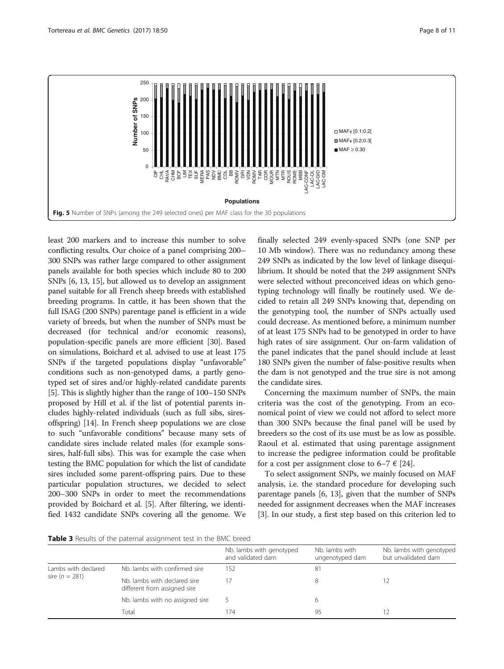<span id="page-7-0"></span>

least 200 markers and to increase this number to solve conflicting results. Our choice of a panel comprising 200– 300 SNPs was rather large compared to other assignment panels available for both species which include 80 to 200 SNPs [\[6](#page-10-0), [13, 15](#page-10-0)], but allowed us to develop an assignment panel suitable for all French sheep breeds with established breeding programs. In cattle, it has been shown that the full ISAG (200 SNPs) parentage panel is efficient in a wide variety of breeds, but when the number of SNPs must be decreased (for technical and/or economic reasons), population-specific panels are more efficient [\[30\]](#page-10-0). Based on simulations, Boichard et al. advised to use at least 175 SNPs if the targeted populations display "unfavorable" conditions such as non-genotyped dams, a partly genotyped set of sires and/or highly-related candidate parents [[5\]](#page-10-0). This is slightly higher than the range of 100–150 SNPs proposed by Hill et al. if the list of potential parents includes highly-related individuals (such as full sibs, siresoffspring) [[14](#page-10-0)]. In French sheep populations we are close to such "unfavorable conditions" because many sets of candidate sires include related males (for example sonssires, half-full sibs). This was for example the case when testing the BMC population for which the list of candidate sires included some parent-offspring pairs. Due to these particular population structures, we decided to select 200–300 SNPs in order to meet the recommendations provided by Boichard et al. [[5](#page-10-0)]. After filtering, we identified 1432 candidate SNPs covering all the genome. We

finally selected 249 evenly-spaced SNPs (one SNP per 10 Mb window). There was no redundancy among these 249 SNPs as indicated by the low level of linkage disequilibrium. It should be noted that the 249 assignment SNPs were selected without preconceived ideas on which genotyping technology will finally be routinely used. We decided to retain all 249 SNPs knowing that, depending on the genotyping tool, the number of SNPs actually used could decrease. As mentioned before, a minimum number of at least 175 SNPs had to be genotyped in order to have high rates of sire assignment. Our on-farm validation of the panel indicates that the panel should include at least 180 SNPs given the number of false-positive results when the dam is not genotyped and the true sire is not among the candidate sires.

Concerning the maximum number of SNPs, the main criteria was the cost of the genotyping. From an economical point of view we could not afford to select more than 300 SNPs because the final panel will be used by breeders so the cost of its use must be as low as possible. Raoul et al. estimated that using parentage assignment to increase the pedigree information could be profitable for a cost per assignment close to  $6-7 \in [24]$  $6-7 \in [24]$  $6-7 \in [24]$ .

To select assignment SNPs, we mainly focused on MAF analysis, i.e. the standard procedure for developing such parentage panels [[6, 13](#page-10-0)], given that the number of SNPs needed for assignment decreases when the MAF increases [[3\]](#page-10-0). In our study, a first step based on this criterion led to

Table 3 Results of the paternal assignment test in the BMC breed

|                     |                                                              | Nb. lambs with genotyped<br>and validated dam | Nb. lambs with<br>ungenotyped dam | Nb. lambs with genotyped<br>but unvalidated dam |
|---------------------|--------------------------------------------------------------|-----------------------------------------------|-----------------------------------|-------------------------------------------------|
| Lambs with declared | Nb. lambs with confirmed sire                                | 152                                           | 81                                |                                                 |
| sire ( $n = 281$ )  | Nb. lambs with declared sire<br>different from assigned sire |                                               |                                   |                                                 |
|                     | Nb. lambs with no assigned sire                              |                                               |                                   |                                                 |
|                     | Total                                                        | 74                                            | 95                                |                                                 |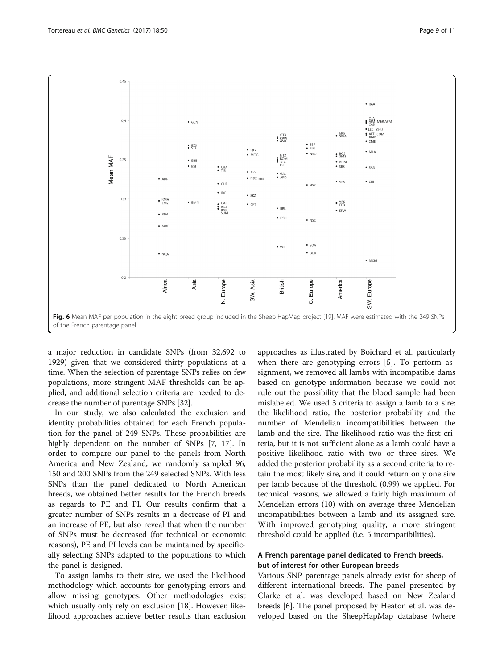<span id="page-8-0"></span>

a major reduction in candidate SNPs (from 32,692 to 1929) given that we considered thirty populations at a time. When the selection of parentage SNPs relies on few populations, more stringent MAF thresholds can be applied, and additional selection criteria are needed to decrease the number of parentage SNPs [[32](#page-10-0)].

In our study, we also calculated the exclusion and identity probabilities obtained for each French population for the panel of 249 SNPs. These probabilities are highly dependent on the number of SNPs [\[7](#page-10-0), [17](#page-10-0)]. In order to compare our panel to the panels from North America and New Zealand, we randomly sampled 96, 150 and 200 SNPs from the 249 selected SNPs. With less SNPs than the panel dedicated to North American breeds, we obtained better results for the French breeds as regards to PE and PI. Our results confirm that a greater number of SNPs results in a decrease of PI and an increase of PE, but also reveal that when the number of SNPs must be decreased (for technical or economic reasons), PE and PI levels can be maintained by specifically selecting SNPs adapted to the populations to which the panel is designed.

To assign lambs to their sire, we used the likelihood methodology which accounts for genotyping errors and allow missing genotypes. Other methodologies exist which usually only rely on exclusion [[18\]](#page-10-0). However, likelihood approaches achieve better results than exclusion approaches as illustrated by Boichard et al. particularly when there are genotyping errors [\[5\]](#page-10-0). To perform assignment, we removed all lambs with incompatible dams based on genotype information because we could not rule out the possibility that the blood sample had been mislabeled. We used 3 criteria to assign a lamb to a sire: the likelihood ratio, the posterior probability and the number of Mendelian incompatibilities between the lamb and the sire. The likelihood ratio was the first criteria, but it is not sufficient alone as a lamb could have a positive likelihood ratio with two or three sires. We added the posterior probability as a second criteria to retain the most likely sire, and it could return only one sire per lamb because of the threshold (0.99) we applied. For technical reasons, we allowed a fairly high maximum of Mendelian errors (10) with on average three Mendelian incompatibilities between a lamb and its assigned sire. With improved genotyping quality, a more stringent threshold could be applied (i.e. 5 incompatibilities).

# A French parentage panel dedicated to French breeds, but of interest for other European breeds

Various SNP parentage panels already exist for sheep of different international breeds. The panel presented by Clarke et al. was developed based on New Zealand breeds [[6\]](#page-10-0). The panel proposed by Heaton et al. was developed based on the SheepHapMap database (where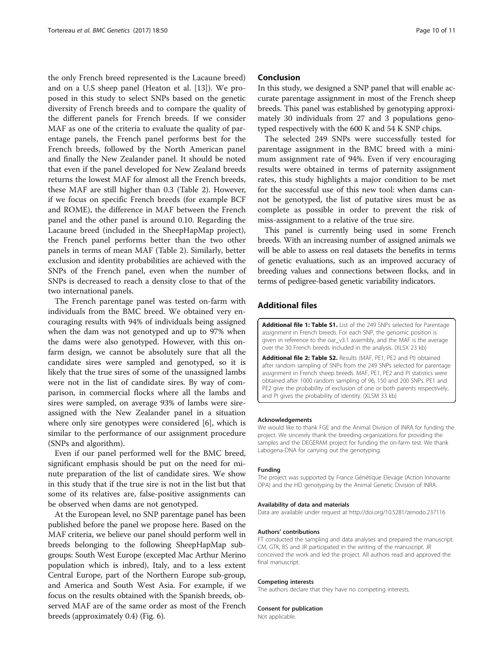<span id="page-9-0"></span>the only French breed represented is the Lacaune breed) and on a U.S sheep panel (Heaton et al. [[13\]](#page-10-0)). We proposed in this study to select SNPs based on the genetic diversity of French breeds and to compare the quality of the different panels for French breeds. If we consider MAF as one of the criteria to evaluate the quality of parentage panels, the French panel performs best for the French breeds, followed by the North American panel and finally the New Zealander panel. It should be noted that even if the panel developed for New Zealand breeds returns the lowest MAF for almost all the French breeds, these MAF are still higher than 0.3 (Table [2](#page-6-0)). However, if we focus on specific French breeds (for example BCF and ROME), the difference in MAF between the French panel and the other panel is around 0.10. Regarding the Lacaune breed (included in the SheepHapMap project), the French panel performs better than the two other panels in terms of mean MAF (Table [2](#page-6-0)). Similarly, better exclusion and identity probabilities are achieved with the SNPs of the French panel, even when the number of SNPs is decreased to reach a density close to that of the two international panels.

The French parentage panel was tested on-farm with individuals from the BMC breed. We obtained very encouraging results with 94% of individuals being assigned when the dam was not genotyped and up to 97% when the dams were also genotyped. However, with this onfarm design, we cannot be absolutely sure that all the candidate sires were sampled and genotyped, so it is likely that the true sires of some of the unassigned lambs were not in the list of candidate sires. By way of comparison, in commercial flocks where all the lambs and sires were sampled, on average 93% of lambs were sireassigned with the New Zealander panel in a situation where only sire genotypes were considered [\[6](#page-10-0)], which is similar to the performance of our assignment procedure (SNPs and algorithm).

Even if our panel performed well for the BMC breed, significant emphasis should be put on the need for minute preparation of the list of candidate sires. We show in this study that if the true sire is not in the list but that some of its relatives are, false-positive assignments can be observed when dams are not genotyped.

At the European level, no SNP parentage panel has been published before the panel we propose here. Based on the MAF criteria, we believe our panel should perform well in breeds belonging to the following SheepHapMap subgroups: South West Europe (excepted Mac Arthur Merino population which is inbred), Italy, and to a less extent Central Europe, part of the Northern Europe sub-group, and America and South West Asia. For example, if we focus on the results obtained with the Spanish breeds, observed MAF are of the same order as most of the French breeds (approximately 0.4) (Fig. [6](#page-8-0)).

# Conclusion

In this study, we designed a SNP panel that will enable accurate parentage assignment in most of the French sheep breeds. This panel was established by genotyping approximately 30 individuals from 27 and 3 populations genotyped respectively with the 600 K and 54 K SNP chips.

The selected 249 SNPs were successfully tested for parentage assignment in the BMC breed with a minimum assignment rate of 94%. Even if very encouraging results were obtained in terms of paternity assignment rates, this study highlights a major condition to be met for the successful use of this new tool: when dams cannot be genotyped, the list of putative sires must be as complete as possible in order to prevent the risk of miss-assignment to a relative of the true sire.

This panel is currently being used in some French breeds. With an increasing number of assigned animals we will be able to assess on real datasets the benefits in terms of genetic evaluations, such as an improved accuracy of breeding values and connections between flocks, and in terms of pedigree-based genetic variability indicators.

# Additional files

[Additional file 1: Table S1.](dx.doi.org/10.1186/s12863-017-0518-2) List of the 249 SNPs selected for Parentage assignment in French breeds. For each SNP, the genomic position is given in reference to the oar\_v3.1 assembly, and the MAF is the average over the 30 French breeds included in the analysis. (XLSX 23 kb)

[Additional file 2: Table S2.](dx.doi.org/10.1186/s12863-017-0518-2) Results (MAF, PE1, PE2 and PI) obtained after random sampling of SNPs from the 249 SNPs selected for parentage assignment in French sheep breeds. MAF, PE1, PE2 and PI statistics were obtained after 1000 random sampling of 96, 150 and 200 SNPs. PE1 and PE2 give the probability of exclusion of one or both parents respectively. and PI gives the probability of identity. (XLSM 33 kb)

#### Acknowledgements

We would like to thank FGE and the Animal Division of INRA for funding the project. We sincerely thank the breeding organizations for providing the samples and the DEGERAM project for funding the on-farm test. We thank Labogena-DNA for carrying out the genotyping.

#### Funding

The project was supported by France Génétique Elevage (Action Innovante OPA) and the HD genotyping by the Animal Genetic Division of INRA.

#### Availability of data and materials

Data are available under request at<http://doi.org/10.5281/zenodo.237116>

#### Authors' contributions

FT conducted the sampling and data analyses and prepared the manuscript. CM, GTK, BS and JR participated in the writing of the manuscript. JR conceived the work and led the project. All authors read and approved the final manuscript.

#### Competing interests

The authors declare that they have no competing interests.

#### Consent for publication

Not applicable.